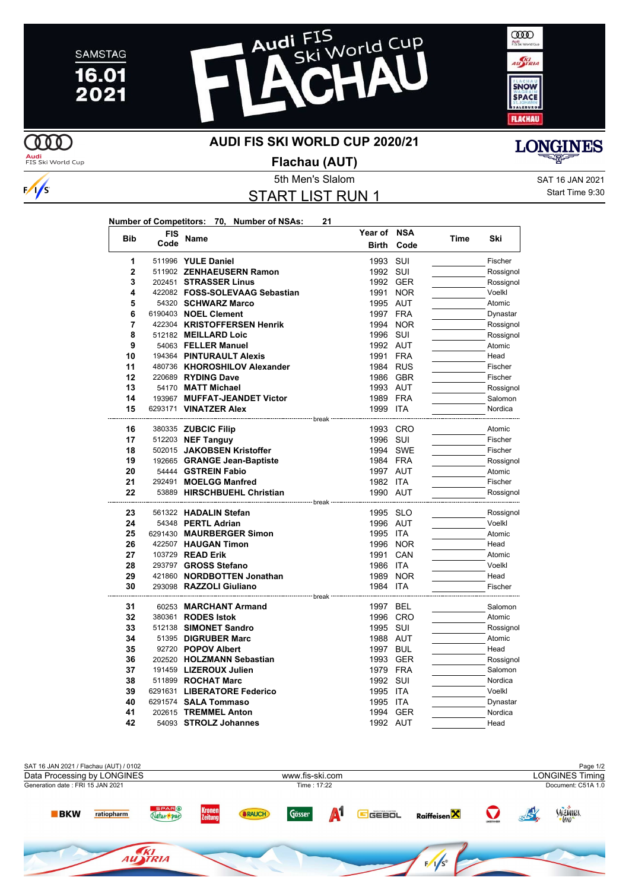





**AUDI FIS SKI WORLD CUP 2020/21**

Audi<br>FIS Ski World Cup

**COO** 

 $\frac{1}{s}$ 

**Flachau (AUT)**

5th Men's Slalom Satura Samuel Control of the SAT 16 JAN 2021

START LIST RUN 1

**Number of Competitors: 70, Number of NSAs: 21**

Start Time 9:30

**LONGINES** 

| <b>Bib</b>     | <b>FIS</b> | Name                           | Year of NSA                                              |            | <b>Time</b> | Ski       |
|----------------|------------|--------------------------------|----------------------------------------------------------|------------|-------------|-----------|
|                | Code       |                                | <b>Birth</b>                                             | Code       |             |           |
| 1              |            | 511996 YULE Daniel             | 1993                                                     | SUI        |             | Fischer   |
| $\overline{2}$ |            | 511902 ZENHAEUSERN Ramon       | 1992 SUI                                                 |            |             | Rossignol |
| 3              |            | 202451 STRASSER Linus          | 1992 GER                                                 |            |             | Rossignol |
| 4              |            | 422082 FOSS-SOLEVAAG Sebastian | 1991                                                     | <b>NOR</b> |             | Voelkl    |
| 5              |            | 54320 SCHWARZ Marco            | 1995 AUT                                                 |            |             | Atomic    |
| 6              |            | 6190403 NOEL Clement           | 1997 FRA                                                 |            |             | Dynastar  |
| 7              |            | 422304 KRISTOFFERSEN Henrik    |                                                          | 1994 NOR   |             | Rossignol |
| 8              |            | 512182 MEILLARD Loic           | 1996 SUI                                                 |            |             | Rossignol |
| 9              |            | 54063 FELLER Manuel            | 1992 AUT                                                 |            |             | Atomic    |
| 10             |            | 194364 PINTURAULT Alexis       | 1991 FRA                                                 |            |             | Head      |
| 11             |            | 480736 KHOROSHILOV Alexander   | 1984 RUS                                                 |            |             | Fischer   |
| 12             |            | 220689 RYDING Dave             | 1986 GBR                                                 |            |             | Fischer   |
| 13             |            | 54170 MATT Michael             | 1993 AUT                                                 |            |             | Rossignol |
| 14             |            | 193967 MUFFAT-JEANDET Victor   | 1989 FRA                                                 |            |             | Salomon   |
| 15             |            | 6293171 VINATZER Alex          | 1999 ITA                                                 |            |             | Nordica   |
| 16             |            | 380335 ZUBCIC Filip            | ---- break<br>1993 CRO                                   |            |             | Atomic    |
| 17             |            | 512203 NEF Tanguy              | 1996 SUI                                                 |            |             | Fischer   |
| 18             |            | 502015 JAKOBSEN Kristoffer     |                                                          | 1994 SWE   |             | Fischer   |
| 19             |            | 192665 GRANGE Jean-Baptiste    | 1984 FRA                                                 |            |             | Rossignol |
| 20             |            | 54444 GSTREIN Fabio            | 1997 AUT                                                 |            |             | Atomic    |
| 21             |            | 292491 MOELGG Manfred          | 1982 ITA                                                 |            |             | Fischer   |
| 22             |            | 53889 HIRSCHBUEHL Christian    | 1990 AUT                                                 |            |             | Rossignol |
|                |            |                                | -------------- break ----------------------------------- |            |             |           |
| 23             |            | 561322 HADALIN Stefan          | 1995 SLO                                                 |            |             | Rossignol |
| 24             |            | 54348 PERTL Adrian             | 1996 AUT                                                 |            |             | Voelkl    |
| 25             |            | 6291430 MAURBERGER Simon       | 1995 ITA                                                 |            |             | Atomic    |
| 26             |            | 422507 HAUGAN Timon            |                                                          | 1996 NOR   |             | Head      |
| 27             |            | 103729 READ Erik               | 1991                                                     | CAN        |             | Atomic    |
| 28             |            | 293797 GROSS Stefano           | 1986 ITA                                                 |            |             | Voelkl    |
| 29             |            | 421860 NORDBOTTEN Jonathan     | 1989                                                     | <b>NOR</b> |             | Head      |
| 30             |            | 293098 RAZZOLI Giuliano        | 1984 ITA                                                 |            |             | Fischer   |
| 31             |            | 60253 MARCHANT Armand          | --- break<br>1997 BEL                                    |            |             | Salomon   |
| 32             |            | 380361 RODES Istok             | 1996 CRO                                                 |            |             | Atomic    |
| 33             |            | 512138 SIMONET Sandro          | 1995 SUI                                                 |            |             | Rossignol |
| 34             |            | 51395 DIGRUBER Marc            | 1988 AUT                                                 |            |             | Atomic    |
| 35             |            | 92720 POPOV Albert             | 1997 BUL                                                 |            |             | Head      |
| 36             |            | 202520 HOLZMANN Sebastian      | 1993 GER                                                 |            |             | Rossignol |
| 37             |            | 191459 LIZEROUX Julien         | 1979 FRA                                                 |            |             | Salomon   |
| 38             |            | 511899 ROCHAT Marc             | 1992 SUI                                                 |            |             | Nordica   |
| 39             |            | 6291631 LIBERATORE Federico    | 1995 ITA                                                 |            |             | Voelkl    |
| 40             |            | 6291574 SALA Tommaso           | 1995 ITA                                                 |            |             | Dynastar  |
| 41             |            | 202615 TREMMEL Anton           | 1994 GER                                                 |            |             | Nordica   |
| 42             |            | 54093 STROLZ Johannes          | 1992 AUT                                                 |            |             | Head      |
|                |            |                                |                                                          |            |             |           |